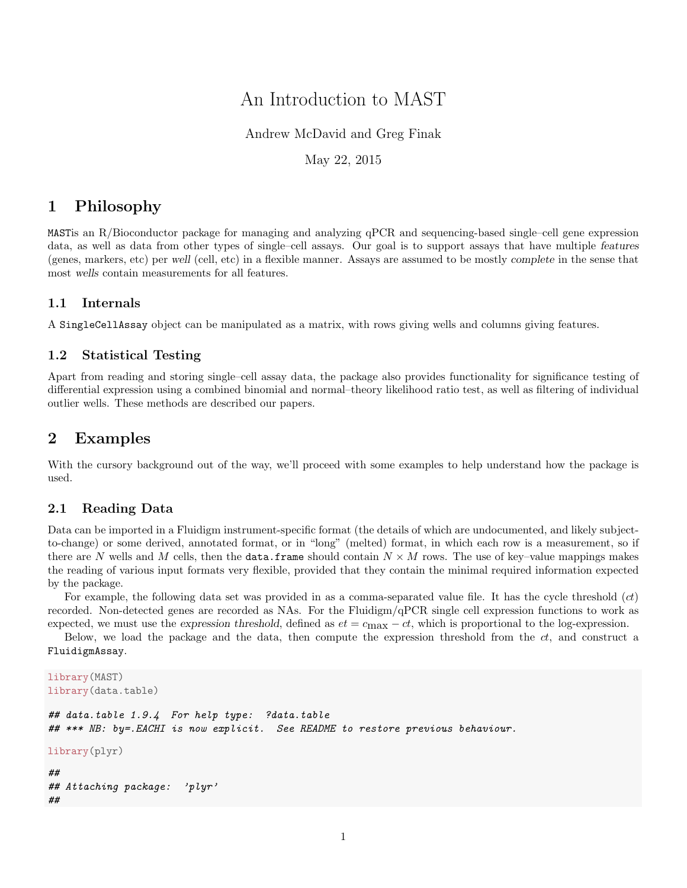# An Introduction to MAST

## Andrew McDavid and Greg Finak

### May 22, 2015

## 1 Philosophy

MASTis an R/Bioconductor package for managing and analyzing qPCR and sequencing-based single–cell gene expression data, as well as data from other types of single–cell assays. Our goal is to support assays that have multiple features (genes, markers, etc) per well (cell, etc) in a flexible manner. Assays are assumed to be mostly complete in the sense that most wells contain measurements for all features.

#### 1.1 Internals

A SingleCellAssay object can be manipulated as a matrix, with rows giving wells and columns giving features.

#### 1.2 Statistical Testing

Apart from reading and storing single–cell assay data, the package also provides functionality for significance testing of differential expression using a combined binomial and normal–theory likelihood ratio test, as well as filtering of individual outlier wells. These methods are described our papers.

## 2 Examples

With the cursory background out of the way, we'll proceed with some examples to help understand how the package is used.

#### 2.1 Reading Data

Data can be imported in a Fluidigm instrument-specific format (the details of which are undocumented, and likely subjectto-change) or some derived, annotated format, or in "long" (melted) format, in which each row is a measurement, so if there are N wells and M cells, then the **data.frame** should contain  $N \times M$  rows. The use of key–value mappings makes the reading of various input formats very flexible, provided that they contain the minimal required information expected by the package.

For example, the following data set was provided in as a comma-separated value file. It has the cycle threshold  $(ct)$ recorded. Non-detected genes are recorded as NAs. For the Fluidigm/qPCR single cell expression functions to work as expected, we must use the expression threshold, defined as  $et = c_{\text{max}} - ct$ , which is proportional to the log-expression.

Below, we load the package and the data, then compute the expression threshold from the  $ct$ , and construct a FluidigmAssay.

```
library(MAST)
library(data.table)
## data.table 1.9.4 For help type: ?data.table
## *** NB: by=.EACHI is now explicit. See README to restore previous behaviour.
library(plyr)
##
## Attaching package: 'plyr'
##
```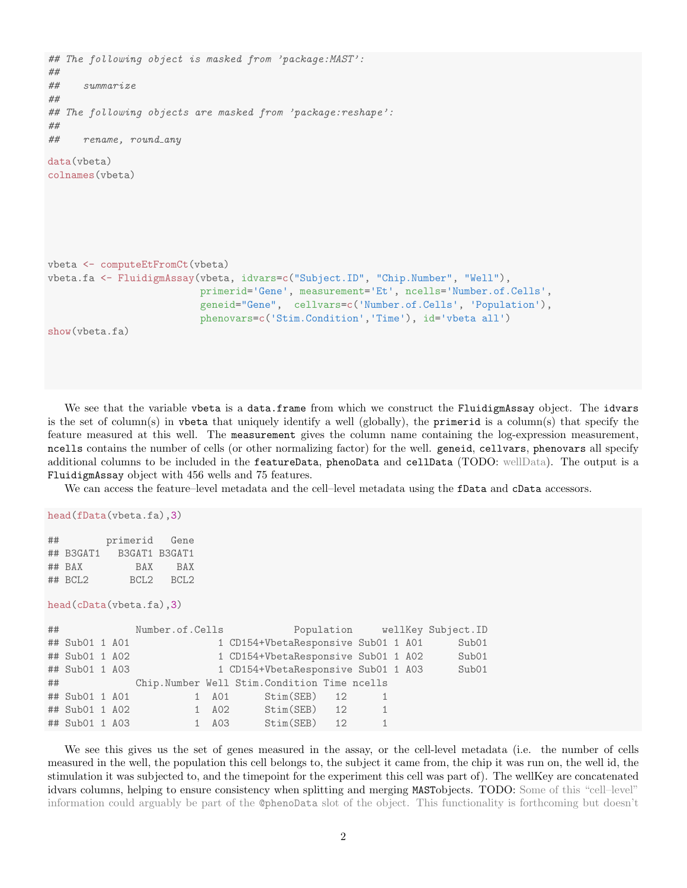```
## The following object is masked from 'package:MAST':
##
## summarize
##
## The following objects are masked from 'package:reshape':
##
## rename, round_any
data(vbeta)
colnames(vbeta)
vbeta <- computeEtFromCt(vbeta)
vbeta.fa <- FluidigmAssay(vbeta, idvars=c("Subject.ID", "Chip.Number", "Well"),
                          primerid='Gene', measurement='Et', ncells='Number.of.Cells',
                          geneid="Gene", cellvars=c('Number.of.Cells', 'Population'),
                          phenovars=c('Stim.Condition','Time'), id='vbeta all')
show(vbeta.fa)
```
We see that the variable vbeta is a data.frame from which we construct the FluidigmAssay object. The idvars is the set of column(s) in vbeta that uniquely identify a well (globally), the primerid is a column(s) that specify the feature measured at this well. The measurement gives the column name containing the log-expression measurement, ncells contains the number of cells (or other normalizing factor) for the well. geneid, cellvars, phenovars all specify additional columns to be included in the featureData, phenoData and cellData (TODO: wellData). The output is a FluidigmAssay object with 456 wells and 75 features.

We can access the feature–level metadata and the cell–level metadata using the fData and cData accessors.

```
head(fData(vbeta.fa),3)
```

| ## |           | primerid Gene           |           |
|----|-----------|-------------------------|-----------|
|    |           | ## B3GAT1 B3GAT1 B3GAT1 |           |
|    | ## BAX    | <b>BAX</b>              | BAX       |
|    | $##$ BCL2 |                         | BCL2 BCL2 |

head(cData(vbeta.fa),3)

| ## |                |  | Number.of.Cells |       |                                             |                |  | Population wellKey Subject. ID |
|----|----------------|--|-----------------|-------|---------------------------------------------|----------------|--|--------------------------------|
|    | ## Sub01 1 A01 |  |                 |       | 1 CD154+VbetaResponsive Sub01 1 A01         |                |  | Sub01                          |
|    | ## Sub01 1 A02 |  |                 |       | 1 CD154+VbetaResponsive Sub01 1 A02         |                |  | Sub01                          |
|    | ## Sub01 1 A03 |  |                 |       | 1 CD154+VbetaResponsive Sub01 1 A03         |                |  | Sub01                          |
|    | $\#$ #         |  |                 |       | Chip.Number Well Stim.Condition Time ncells |                |  |                                |
|    | ## Sub01 1 A01 |  |                 |       | Stim(SEB) 12<br>1 A01                       |                |  |                                |
|    | ## Sub01 1 A02 |  |                 |       | 1 A02 Stim(SEB) 12                          | $\overline{1}$ |  |                                |
|    | ## Sub01 1 A03 |  |                 | 1 A03 | $Stim(SEB)$ 12                              | 1              |  |                                |
|    |                |  |                 |       |                                             |                |  |                                |

We see this gives us the set of genes measured in the assay, or the cell-level metadata (i.e. the number of cells measured in the well, the population this cell belongs to, the subject it came from, the chip it was run on, the well id, the stimulation it was subjected to, and the timepoint for the experiment this cell was part of). The wellKey are concatenated idvars columns, helping to ensure consistency when splitting and merging MASTobjects. TODO: Some of this "cell–level" information could arguably be part of the @phenoData slot of the object. This functionality is forthcoming but doesn't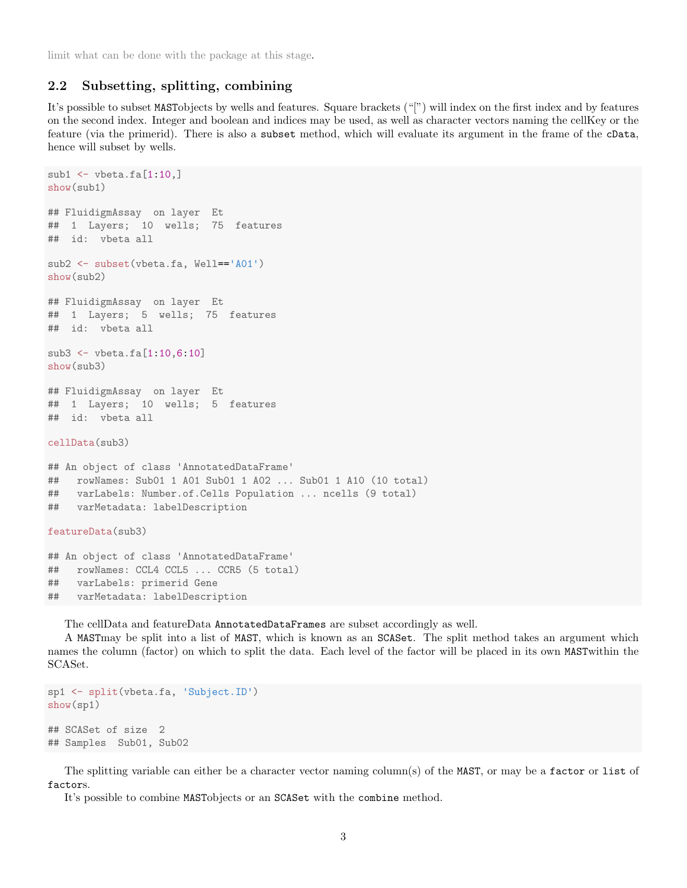limit what can be done with the package at this stage.

#### 2.2 Subsetting, splitting, combining

It's possible to subset MASTobjects by wells and features. Square brackets ("[") will index on the first index and by features on the second index. Integer and boolean and indices may be used, as well as character vectors naming the cellKey or the feature (via the primerid). There is also a subset method, which will evaluate its argument in the frame of the cData, hence will subset by wells.

```
sub1 \leftarrow vbeta.fa[1:10.]show(sub1)
## FluidigmAssay on layer Et
## 1 Layers; 10 wells; 75 features
## id: vbeta all
sub2 <- subset(vbeta.fa, Well=='A01')
show(sub2)
## FluidigmAssay on layer Et
## 1 Layers; 5 wells; 75 features
## id: vbeta all
sub3 <- vbeta.fa[1:10,6:10]
show(sub3)
## FluidigmAssay on layer Et
## 1 Layers; 10 wells; 5 features
## id: vbeta all
cellData(sub3)
## An object of class 'AnnotatedDataFrame'
## rowNames: Sub01 1 A01 Sub01 1 A02 ... Sub01 1 A10 (10 total)
## varLabels: Number.of.Cells Population ... ncells (9 total)
## varMetadata: labelDescription
featureData(sub3)
## An object of class 'AnnotatedDataFrame'
## rowNames: CCL4 CCL5 ... CCR5 (5 total)
## varLabels: primerid Gene
## varMetadata: labelDescription
```
The cellData and featureData AnnotatedDataFrames are subset accordingly as well.

A MASTmay be split into a list of MAST, which is known as an SCASet. The split method takes an argument which names the column (factor) on which to split the data. Each level of the factor will be placed in its own MASTwithin the SCASet.

```
sp1 <- split(vbeta.fa, 'Subject.ID')
show(sp1)
## SCASet of size 2
## Samples Sub01, Sub02
```
The splitting variable can either be a character vector naming column(s) of the MAST, or may be a factor or list of factors.

It's possible to combine MASTobjects or an SCASet with the combine method.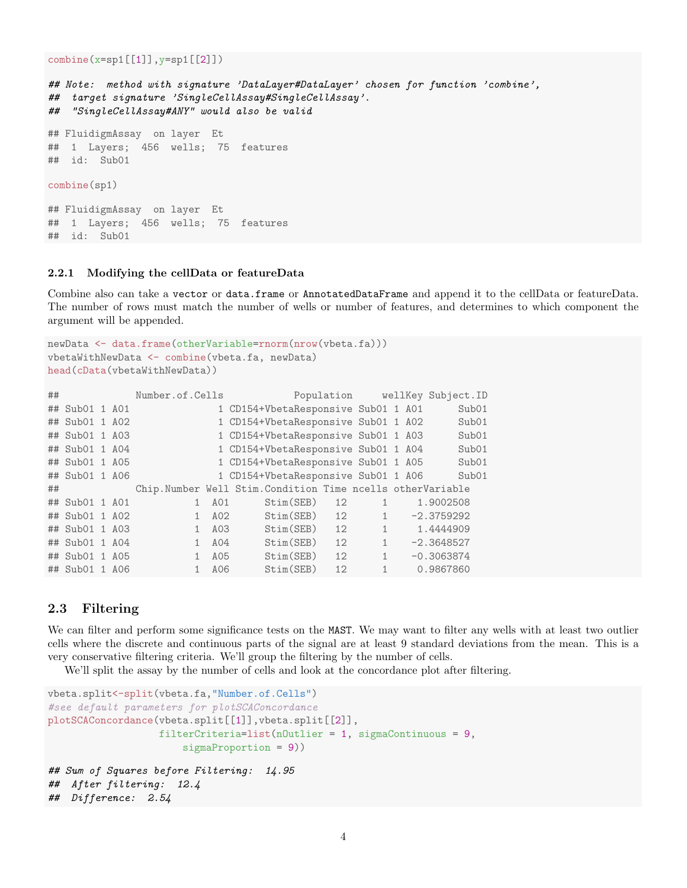```
combine(x=sp1[[1]],y=sp1[[2]])
```

```
## Note: method with signature 'DataLayer#DataLayer' chosen for function 'combine',
## target signature 'SingleCellAssay#SingleCellAssay'.
## "SingleCellAssay#ANY" would also be valid
## FluidigmAssay on layer Et
## 1 Layers; 456 wells; 75 features
## id: Sub01
combine(sp1)
## FluidigmAssay on layer Et
## 1 Layers; 456 wells; 75 features
## id: Sub01
```
#### 2.2.1 Modifying the cellData or featureData

Combine also can take a vector or data.frame or AnnotatedDataFrame and append it to the cellData or featureData. The number of rows must match the number of wells or number of features, and determines to which component the argument will be appended.

```
newData <- data.frame(otherVariable=rnorm(nrow(vbeta.fa)))
vbetaWithNewData <- combine(vbeta.fa, newData)
head(cData(vbetaWithNewData))
```

| ## |                |  | Number.of.Cells |     |                                                           |    |              |  | Population wellKey Subject. ID |
|----|----------------|--|-----------------|-----|-----------------------------------------------------------|----|--------------|--|--------------------------------|
|    | ## Sub01 1 A01 |  |                 |     | 1 CD154+VbetaResponsive Sub01 1 A01                       |    |              |  | Sub01                          |
|    | ## Sub01 1 A02 |  |                 |     | 1 CD154+VbetaResponsive Sub01 1 A02                       |    |              |  | Sub01                          |
|    | ## Sub01 1 A03 |  |                 |     | 1 CD154+VbetaResponsive Sub01 1 A03                       |    |              |  | Sub01                          |
|    | ## Sub01 1 A04 |  |                 |     | 1 CD154+VbetaResponsive Sub01 1 A04                       |    |              |  | Sub01                          |
|    | ## Sub01 1 A05 |  |                 |     | 1 CD154+VbetaResponsive Sub01 1 A05                       |    |              |  | Sub01                          |
|    | ## Sub01 1 A06 |  |                 |     | 1 CD154+VbetaResponsive Sub01 1 A06                       |    |              |  | Sub01                          |
| ## |                |  |                 |     | Chip.Number Well Stim.Condition Time ncells otherVariable |    |              |  |                                |
|    | ## Sub01 1 A01 |  | $\mathbf{1}$    | A01 | Stim(SEB)                                                 | 12 | $\mathbf{1}$ |  | 1.9002508                      |
|    | ## Sub01 1 A02 |  | $\mathbf{1}$    |     | Stim(SEB)<br>A02                                          | 12 | $\mathbf{1}$ |  | $-2.3759292$                   |
|    | ## Sub01 1 A03 |  | $\mathbf{1}$    | A03 | Stim(SEB)                                                 | 12 | $\mathbf{1}$ |  | 1.4444909                      |
|    | ## Sub01 1 A04 |  | $\mathbf{1}$    | A04 | Stim(SEB)                                                 | 12 | $\mathbf{1}$ |  | $-2.3648527$                   |
|    | ## Sub01 1 A05 |  | $\mathbf{1}$    | A05 | Stim(SEB)                                                 | 12 | $\mathbf{1}$ |  | $-0.3063874$                   |
|    | ## Sub01 1 A06 |  | $\mathbf{1}$    | A06 | Stim(SEB)                                                 | 12 | $\mathbf{1}$ |  | 0.9867860                      |

### 2.3 Filtering

We can filter and perform some significance tests on the MAST. We may want to filter any wells with at least two outlier cells where the discrete and continuous parts of the signal are at least 9 standard deviations from the mean. This is a very conservative filtering criteria. We'll group the filtering by the number of cells.

We'll split the assay by the number of cells and look at the concordance plot after filtering.

```
vbeta.split<-split(vbeta.fa,"Number.of.Cells")
#see default parameters for plotSCAConcordance
plotSCAConcordance(vbeta.split[[1]],vbeta.split[[2]],
                  filterCriteria=list(nOutlier = 1, sigmaContinuous = 9,
                      sigmaProportion = 9))
## Sum of Squares before Filtering: 14.95
## After filtering: 12.4
## Difference: 2.54
```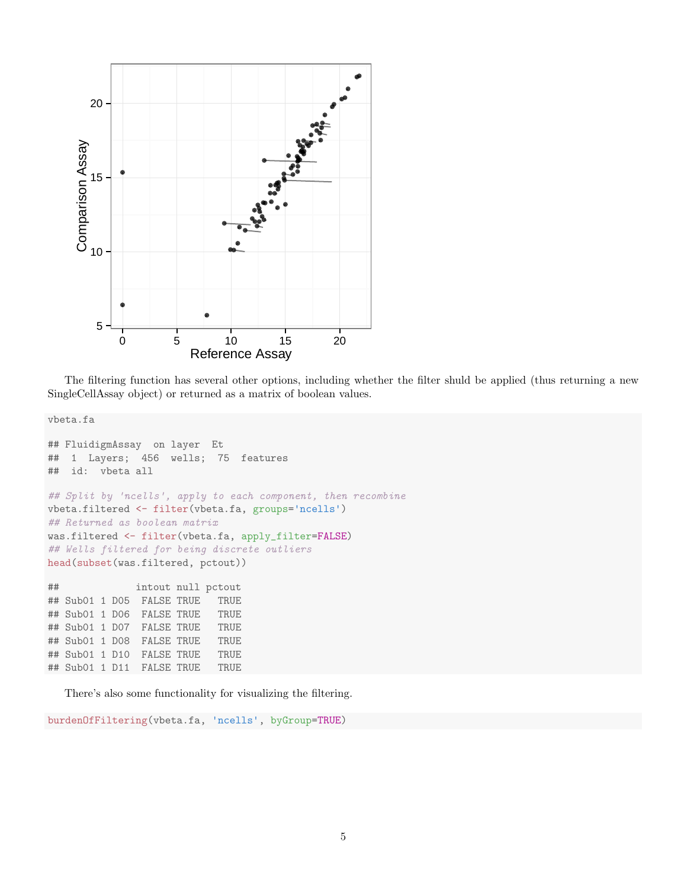

The filtering function has several other options, including whether the filter shuld be applied (thus returning a new SingleCellAssay object) or returned as a matrix of boolean values.

vbeta.fa

```
## FluidigmAssay on layer Et
## 1 Layers; 456 wells; 75 features
## id: vbeta all
## Split by 'ncells', apply to each component, then recombine
vbeta.filtered <- filter(vbeta.fa, groups='ncells')
## Returned as boolean matrix
was.filtered <- filter(vbeta.fa, apply_filter=FALSE)
## Wells filtered for being discrete outliers
head(subset(was.filtered, pctout))
## intout null pctout
## Sub01 1 D05 FALSE TRUE TRUE
## Sub01 1 D06 FALSE TRUE TRUE
## Sub01 1 D07 FALSE TRUE TRUE
## Sub01 1 D08 FALSE TRUE TRUE
## Sub01 1 D10 FALSE TRUE TRUE
## Sub01 1 D11 FALSE TRUE TRUE
```
There's also some functionality for visualizing the filtering.

burdenOfFiltering(vbeta.fa, 'ncells', byGroup=TRUE)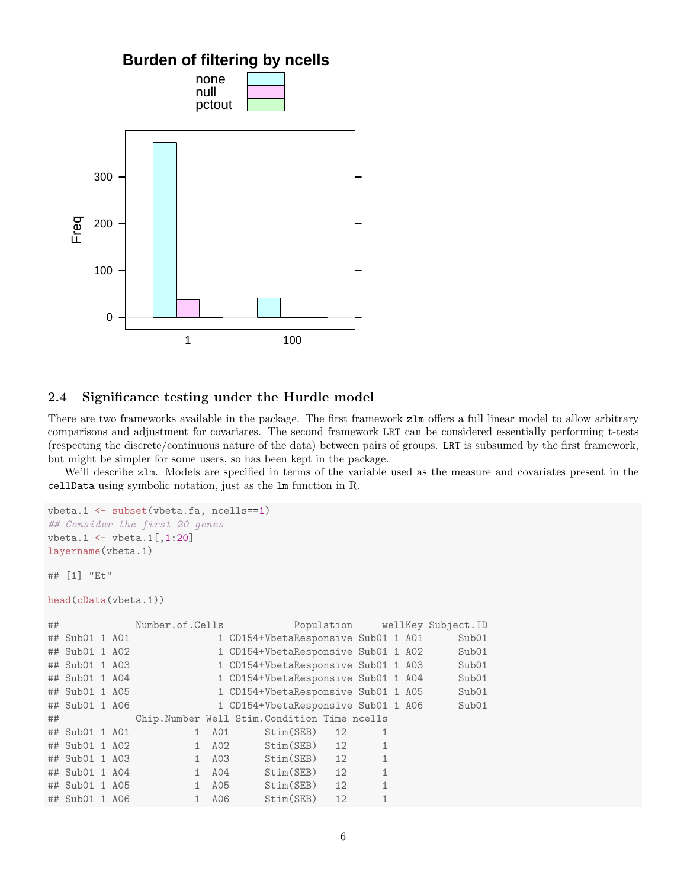

### 2.4 Significance testing under the Hurdle model

There are two frameworks available in the package. The first framework  $z \text{lm}$  offers a full linear model to allow arbitrary comparisons and adjustment for covariates. The second framework LRT can be considered essentially performing t-tests (respecting the discrete/continuous nature of the data) between pairs of groups. LRT is subsumed by the first framework, but might be simpler for some users, so has been kept in the package.

We'll describe  $z \text{lm}$ . Models are specified in terms of the variable used as the measure and covariates present in the cellData using symbolic notation, just as the lm function in R.

```
vbeta.1 <- subset(vbeta.fa, ncells==1)
## Consider the first 20 genes
vbeta.1 \leftarrow vbeta.1[,1:20]
layername(vbeta.1)
## [1] "Et"
head(cData(vbeta.1))
## Number.of.Cells Population wellKey Subject.ID
## Sub01 1 A01 1 CD154+VbetaResponsive Sub01 1 A01 Sub01
## Sub01 1 A02 1 CD154+VbetaResponsive Sub01 1 A02 Sub01
## Sub01 1 A03 1 CD154+VbetaResponsive Sub01 1 A03 Sub01
## Sub01 1 A04 1 CD154+VbetaResponsive Sub01 1 A04 Sub01
## Sub01 1 A05 1 CD154+VbetaResponsive Sub01 1 A05 Sub01
## Sub01 1 A06 1 CD154+VbetaResponsive Sub01 1 A06 Sub01
## Chip.Number Well Stim.Condition Time ncells
## Sub01 1 A01 1 A01 Stim(SEB) 12 1
## Sub01 1 A02 1 A02 Stim(SEB) 12 1
## Sub01 1 A03 1 A03 Stim(SEB) 12 1
## Sub01 1 A04 1 A04 Stim(SEB) 12 1
## Sub01 1 A05 1 A05 Stim(SEB) 12 1
## Sub01 1 A06 1 A06 Stim(SEB) 12 1
```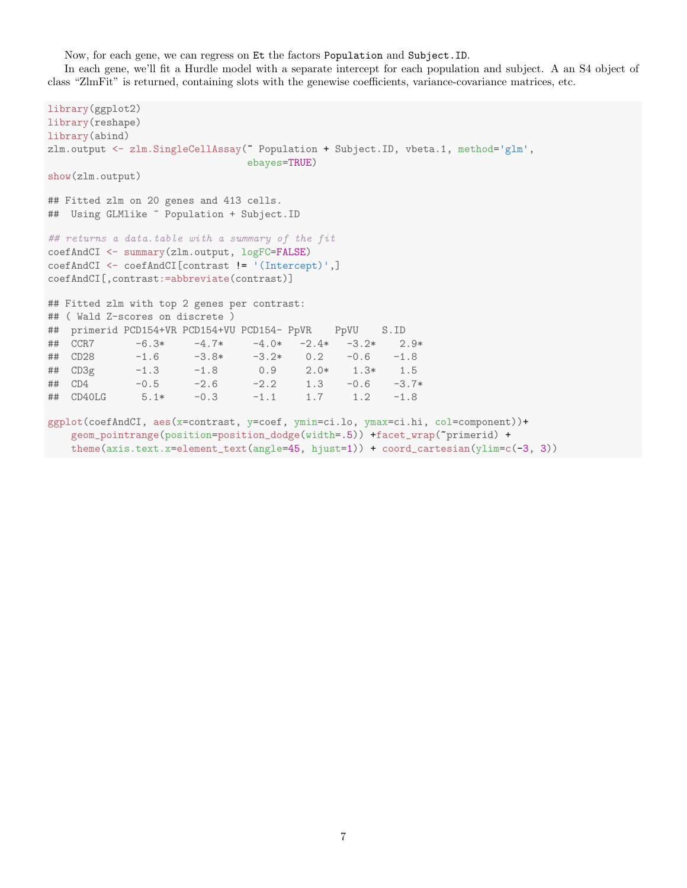Now, for each gene, we can regress on Et the factors Population and Subject.ID.

In each gene, we'll fit a Hurdle model with a separate intercept for each population and subject. A an S4 object of class "ZlmFit" is returned, containing slots with the genewise coefficients, variance-covariance matrices, etc.

```
library(ggplot2)
library(reshape)
library(abind)
zlm.output <- zlm.SingleCellAssay(~ Population + Subject.ID, vbeta.1, method='glm',
                              ebayes=TRUE)
show(zlm.output)
## Fitted zlm on 20 genes and 413 cells.
## Using GLMlike ~ Population + Subject.ID
## returns a data.table with a summary of the fit
coefAndCI <- summary(zlm.output, logFC=FALSE)
coefAndCI <- coefAndCI[contrast != '(Intercept)',]
coefAndCI[,contrast:=abbreviate(contrast)]
## Fitted zlm with top 2 genes per contrast:
## ( Wald Z-scores on discrete )
## primerid PCD154+VR PCD154+VU PCD154- PpVR PpVU S.ID
## CCR7 -6.3* -4.7* -4.0* -2.4* -3.2* 2.9*
## CD28 -1.6 -3.8* -3.2* 0.2 -0.6 -1.8
## CD3g -1.3 -1.8 0.9 2.0* 1.3* 1.5
            -0.5 -2.6 -2.2 1.3 -0.6 -3.7*## CD40LG 5.1* -0.3 -1.1 1.7 1.2 -1.8
ggplot(coefAndCI, aes(x=contrast, y=coef, ymin=ci.lo, ymax=ci.hi, col=component))+
   geom_pointrange(position=position_dodge(width=.5)) +facet_wrap(~primerid) +
   theme(axis.text.x=element_text(angle=45, hjust=1)) + coord_cartesian(ylim=c(-3, 3))
```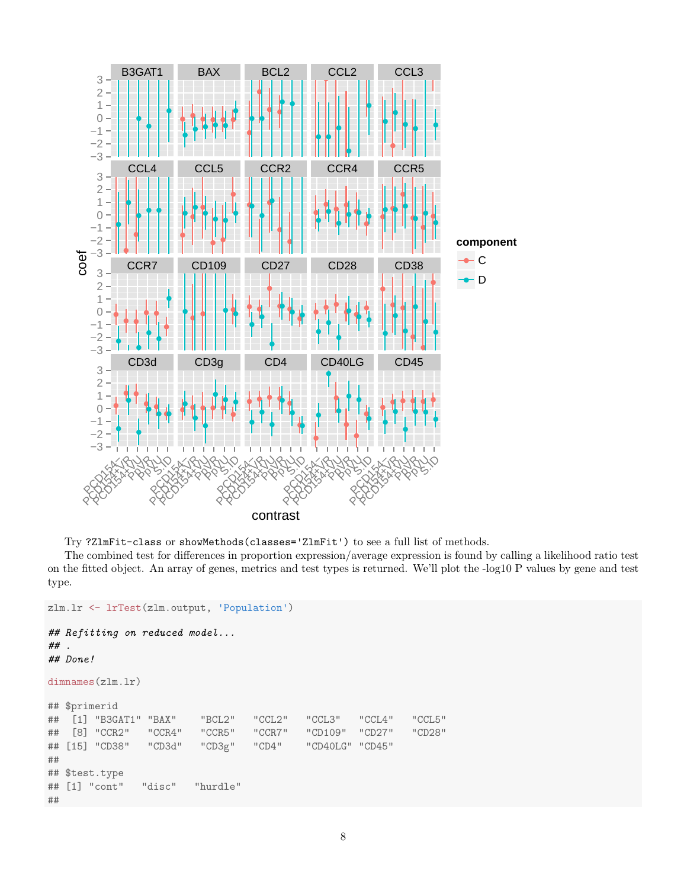



The combined test for differences in proportion expression/average expression is found by calling a likelihood ratio test on the fitted object. An array of genes, metrics and test types is returned. We'll plot the -log10 P values by gene and test type.

```
zlm.lr <- lrTest(zlm.output, 'Population')
## Refitting on reduced model...
## .
## Done!
dimnames(zlm.lr)
## $primerid
## [1] "B3GAT1" "BAX" "BCL2" "CCL2" "CCL3" "CCL4" "CCL5"
## [8] "CCR2" "CCR4" "CCR5" "CCR7" "CD109" "CD27" "CD28"
## [15] "CD38" "CD3d" "CD3g" "CD4" "CD40LG" "CD45"
##
## $test.type
## [1] "cont" "disc" "hurdle"
##
```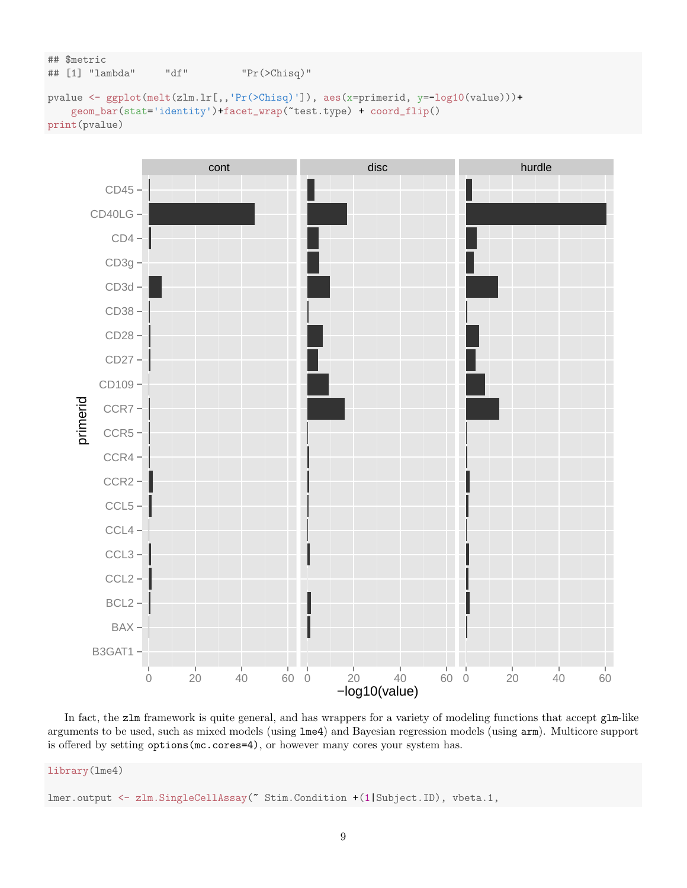```
## $metric
## [1] "lambda" "df" "Pr(>Chisq)"
```

```
pvalue <- ggplot(melt(zlm.lr[,,'Pr(>Chisq)']), aes(x=primerid, y=-log10(value)))+
    geom_bar(stat='identity')+facet_wrap(~test.type) + coord_flip()
print(pvalue)
```


In fact, the zlm framework is quite general, and has wrappers for a variety of modeling functions that accept glm-like arguments to be used, such as mixed models (using lme4) and Bayesian regression models (using arm). Multicore support is offered by setting options(mc.cores=4), or however many cores your system has.

library(lme4)

lmer.output <- zlm.SingleCellAssay(~ Stim.Condition +(1|Subject.ID), vbeta.1,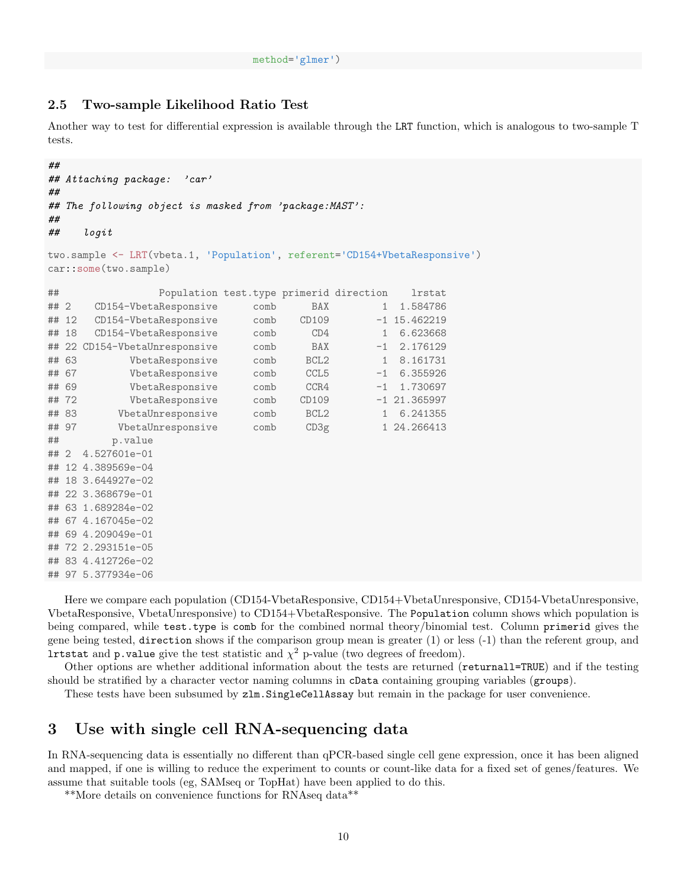#### 2.5 Two-sample Likelihood Ratio Test

Another way to test for differential expression is available through the LRT function, which is analogous to two-sample T tests.

```
##
## Attaching package: 'car'
##
## The following object is masked from 'package:MAST':
##
## logit
two.sample <- LRT(vbeta.1, 'Population', referent='CD154+VbetaResponsive')
car::some(two.sample)
## Population test.type primerid direction lrstat
## 2 CD154-VbetaResponsive comb BAX 1 1.584786
## 12 CD154-VbetaResponsive comb CD109 -1 15.462219
## 18 CD154-VbetaResponsive comb CD4 1 6.623668
## 22 CD154-VbetaUnresponsive comb BAX -1 2.176129
## 63 VbetaResponsive comb BCL2 1 8.161731
## 67 VbetaResponsive comb CCL5 -1 6.355926
## 69 VbetaResponsive comb CCR4 -1 1.730697
## 72 VbetaResponsive comb CD109 -1 21.365997
## 83 VbetaUnresponsive comb BCL2 1 6.241355
## 97 VbetaUnresponsive comb CD3g 1 24.266413
## p.value
## 2 4.527601e-01
## 12 4.389569e-04
## 18 3.644927e-02
## 22 3.368679e-01
## 63 1.689284e-02
## 67 4.167045e-02
## 69 4.209049e-01
## 72 2.293151e-05
## 83 4.412726e-02
## 97 5.377934e-06
```
Here we compare each population (CD154-VbetaResponsive, CD154+VbetaUnresponsive, CD154-VbetaUnresponsive, VbetaResponsive, VbetaUnresponsive) to CD154+VbetaResponsive. The Population column shows which population is being compared, while test.type is comb for the combined normal theory/binomial test. Column primerid gives the gene being tested, direction shows if the comparison group mean is greater (1) or less (-1) than the referent group, and **lrtstat** and **p**. **value** give the test statistic and  $\chi^2$  p-value (two degrees of freedom).

Other options are whether additional information about the tests are returned (returnall=TRUE) and if the testing should be stratified by a character vector naming columns in cData containing grouping variables (groups).

These tests have been subsumed by  $z \ln S \in S$  SingleCellAssay but remain in the package for user convenience.

## 3 Use with single cell RNA-sequencing data

In RNA-sequencing data is essentially no different than qPCR-based single cell gene expression, once it has been aligned and mapped, if one is willing to reduce the experiment to counts or count-like data for a fixed set of genes/features. We assume that suitable tools (eg, SAMseq or TopHat) have been applied to do this.

\*\*More details on convenience functions for RNAseq data\*\*